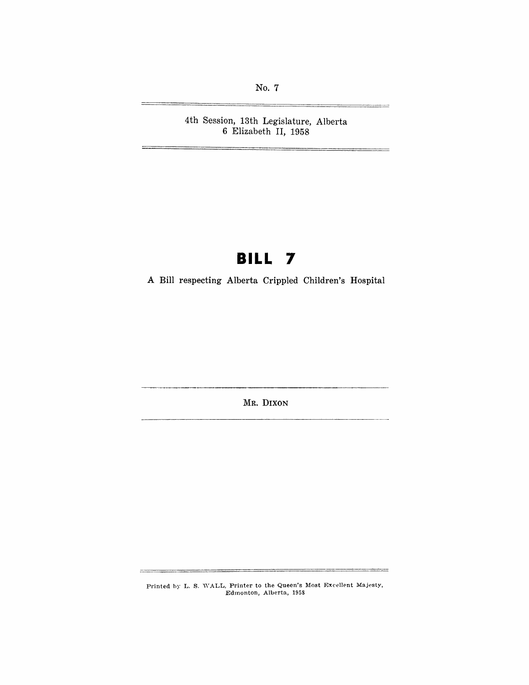**No.7** 

**4th Session, 13th Legislature, Alberta 6 Elizabeth II, 1958** 

# **BILL 7**

**A Bill respecting Alberta Crippled Children's Hospital** 

**MR. DIXON** 

Printed by L. S. WALL, Printer to the Queen's Most Excellent Majesty, Edmonton, Alberta, 1958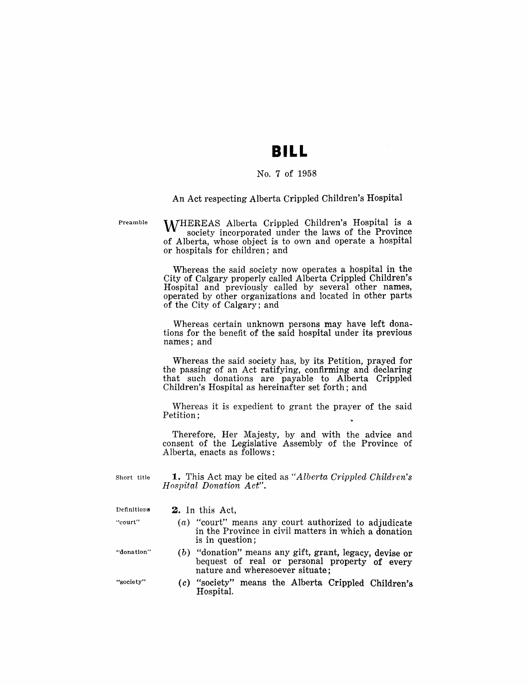## **BILL**

### No.7 of 1958

#### An Act respecting Alberta Crippled Children's Hospital

Preamble

WHEREAS Alberta Crippled Children's Hospital is a society incorporated under the laws of the Province of Alberta, whose object is to own and operate a hospital or hospitals for children; and

Whereas the said society now operates a hospital in the City of Calgary properly called Alberta Crippled Children's Hospital and previously called by several other names, operated by other organizations and located in other parts of the City of Calgary; and

Whereas certain unknown persons may have left donations for the benefit of the said hospital under its previous names; and

Whereas the said society has, by its Petition, prayed for the passing of an Act ratifying, confirming and declaring that such donations are payable to Alberta Crippled Children's Hospital as hereinafter set forth; and

Whereas it is expedient to grant the prayer of the said Petition;

Therefore, Her Majesty, by and with the advice and consent of the Legislative Assembly of the Province of Alberta, enacts as follows:

Short title **1.** This Act may be cited as "Alberta Crippled Children's *Hospital Donation Act".* 

#### Definitions  $2.$  In this Act,

- "court"  $(a)$  "court" means any court authorized to adjudicate in the Province in civil matters in which a donation is in question;
- "donation" (b) "donation" means any gift, grant, legacy, devise or bequest of real or personal property of every nature and wheresoever situate;
- "society" (c) "society" means the Alberta Crippled Children's Hospital.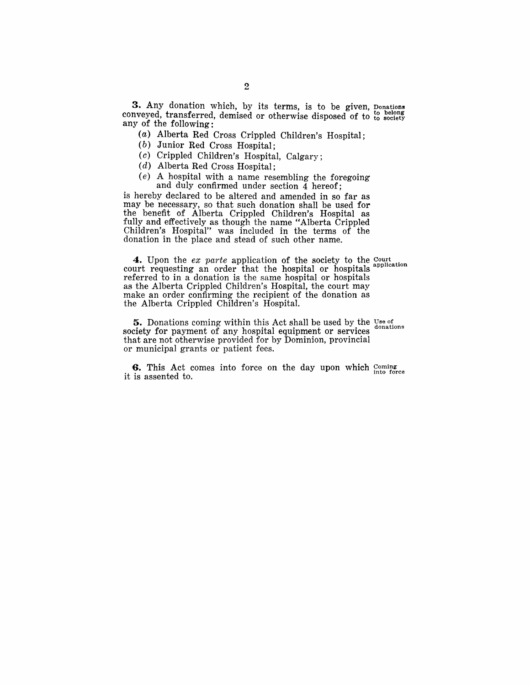**3.** Any donation which, by its terms, is to be given, ponations conveyed, transferred, demised or otherwise disposed of to to society any of the following:

(a) Alberta Red Cross Crippled Children's Hospital;

(b) Junior Red Cross Hospital;

(c) Crippled Children's Hospital, Calgary;

(d) Alberta Red Cross Hospital;

(e) A hospital with a name resembling the foregoing and duly confirmed under section 4 hereof;

is hereby declared to be altered and amended in so far as may be necessary, so that such donation shall be used for the benefit of Alberta Crippled Children's Hospital as fully and effectively as though the name "Alberta Crippled Children's Hospital" was included in the terms of the donation in the place and stead of such other name.

**4.** Upon the *ex parte* application of the society to the Court nonvention on application court requesting an order that the hospital or hospitals application referred to in a donation is the same hospital or hospitals as the Alberta Crippled Children's Hospital, the court may make an order confirming the recipient of the donation as the Alberta Crippled Children's Hospital.

**5.** Donations coming within this Act shall be used by the Use of donations society for payment of any hospital equipment or services that are not otherwise provided for by Dominion, provincial or municipal grants or patient fees.

**6.** This Act comes into force on the day upon which  $_{\text{inter}}^{(\text{comp})}$ it is assented to.